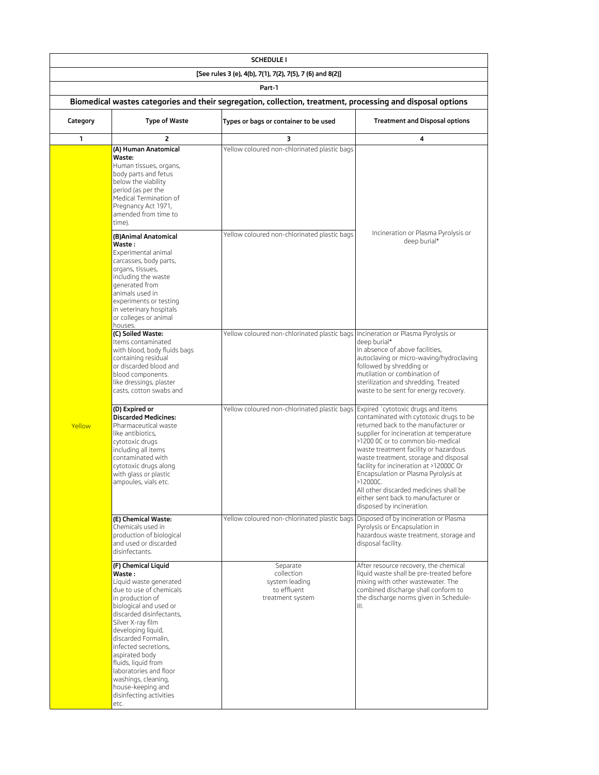| <b>SCHEDULE I</b>                                                                                                    |                                                                                                                                                                                                                                                                                                                                                                                                           |                                                                                   |                                                                                                                                                                                                                                                                                                                                                                                                                                                                                                       |  |  |
|----------------------------------------------------------------------------------------------------------------------|-----------------------------------------------------------------------------------------------------------------------------------------------------------------------------------------------------------------------------------------------------------------------------------------------------------------------------------------------------------------------------------------------------------|-----------------------------------------------------------------------------------|-------------------------------------------------------------------------------------------------------------------------------------------------------------------------------------------------------------------------------------------------------------------------------------------------------------------------------------------------------------------------------------------------------------------------------------------------------------------------------------------------------|--|--|
| [See rules 3 (e), 4(b), 7(1), 7(2), 7(5), 7 (6) and 8(2)]                                                            |                                                                                                                                                                                                                                                                                                                                                                                                           |                                                                                   |                                                                                                                                                                                                                                                                                                                                                                                                                                                                                                       |  |  |
| Part-1<br>Biomedical wastes categories and their segregation, collection, treatment, processing and disposal options |                                                                                                                                                                                                                                                                                                                                                                                                           |                                                                                   |                                                                                                                                                                                                                                                                                                                                                                                                                                                                                                       |  |  |
| Category                                                                                                             | <b>Type of Waste</b>                                                                                                                                                                                                                                                                                                                                                                                      | Types or bags or container to be used                                             | <b>Treatment and Disposal options</b>                                                                                                                                                                                                                                                                                                                                                                                                                                                                 |  |  |
| 1                                                                                                                    | 2                                                                                                                                                                                                                                                                                                                                                                                                         | з                                                                                 | 4                                                                                                                                                                                                                                                                                                                                                                                                                                                                                                     |  |  |
|                                                                                                                      | (A) Human Anatomical<br>Waste:<br>Human tissues, organs,<br>body parts and fetus<br>below the viability<br>period (as per the<br>Medical Termination of<br>Pregnancy Act 1971,<br>amended from time to<br>time).                                                                                                                                                                                          | Yellow coloured non-chlorinated plastic bags                                      |                                                                                                                                                                                                                                                                                                                                                                                                                                                                                                       |  |  |
|                                                                                                                      | (B)Animal Anatomical<br>Waste :<br>Experimental animal<br>carcasses, body parts,<br>organs, tissues,<br>including the waste<br>generated from<br>animals used in<br>experiments or testing<br>in veterinary hospitals<br>or colleges or animal<br>houses.                                                                                                                                                 | Yellow coloured non-chlorinated plastic bags                                      | Incineration or Plasma Pyrolysis or<br>deep burial*                                                                                                                                                                                                                                                                                                                                                                                                                                                   |  |  |
|                                                                                                                      | (C) Soiled Waste:<br>Items contaminated<br>with blood, body fluids bags<br>containing residual<br>or discarded blood and<br>blood components.<br>like dressings, plaster<br>casts, cotton swabs and                                                                                                                                                                                                       | Yellow coloured non-chlorinated plastic bags  Incineration or Plasma Pyrolysis or | deep burial*<br>In absence of above facilities,<br>autoclaving or micro-waving/hydroclaving<br>followed by shredding or<br>mutilation or combination of<br>sterilization and shredding. Treated<br>waste to be sent for energy recovery.                                                                                                                                                                                                                                                              |  |  |
| Yellow                                                                                                               | (D) Expired or<br><b>Discarded Medicines:</b><br>Pharmaceutical waste<br>like antibiotics,<br>cytotoxic drugs<br>including all items<br>contaminated with<br>cytotoxic drugs along<br>with glass or plastic<br>ampoules, vials etc.                                                                                                                                                                       | Yellow coloured non-chlorinated plastic bags                                      | Expired `cytotoxic drugs and items<br>contaminated with cytotoxic drugs to be<br>returned back to the manufacturer or<br>supplier for incineration at temperature<br>>1200 OC or to common bio-medical<br>waste treatment facility or hazardous<br>waste treatment, storage and disposal<br>facility for incineration at >12000C Or<br>Encapsulation or Plasma Pyrolysis at<br>>12000C.<br>All other discarded medicines shall be<br>either sent back to manufacturer or<br>disposed by incineration. |  |  |
|                                                                                                                      | (E) Chemical Waste:<br>Chemicals used in<br>production of biological<br>and used or discarded<br>disinfectants.                                                                                                                                                                                                                                                                                           | Yellow coloured non-chlorinated plastic bags                                      | Disposed of by incineration or Plasma<br>Pyrolysis or Encapsulation in<br>hazardous waste treatment, storage and<br>disposal facility.                                                                                                                                                                                                                                                                                                                                                                |  |  |
|                                                                                                                      | (F) Chemical Liquid<br>Waste :<br>Liquid waste generated<br>due to use of chemicals<br>in production of<br>biological and used or<br>discarded disinfectants,<br>Silver X-ray film<br>developing liquid,<br>discarded Formalin,<br>infected secretions,<br>aspirated body<br>fluids, liquid from<br>laboratories and floor<br>washings, cleaning,<br>house-keeping and<br>disinfecting activities<br>etc. | Separate<br>collection<br>system leading<br>to effluent<br>treatment system       | After resource recovery, the chemical<br>liquid waste shall be pre-treated before<br>mixing with other wastewater. The<br>combined discharge shall conform to<br>the discharge norms given in Schedule-<br>Ш.                                                                                                                                                                                                                                                                                         |  |  |